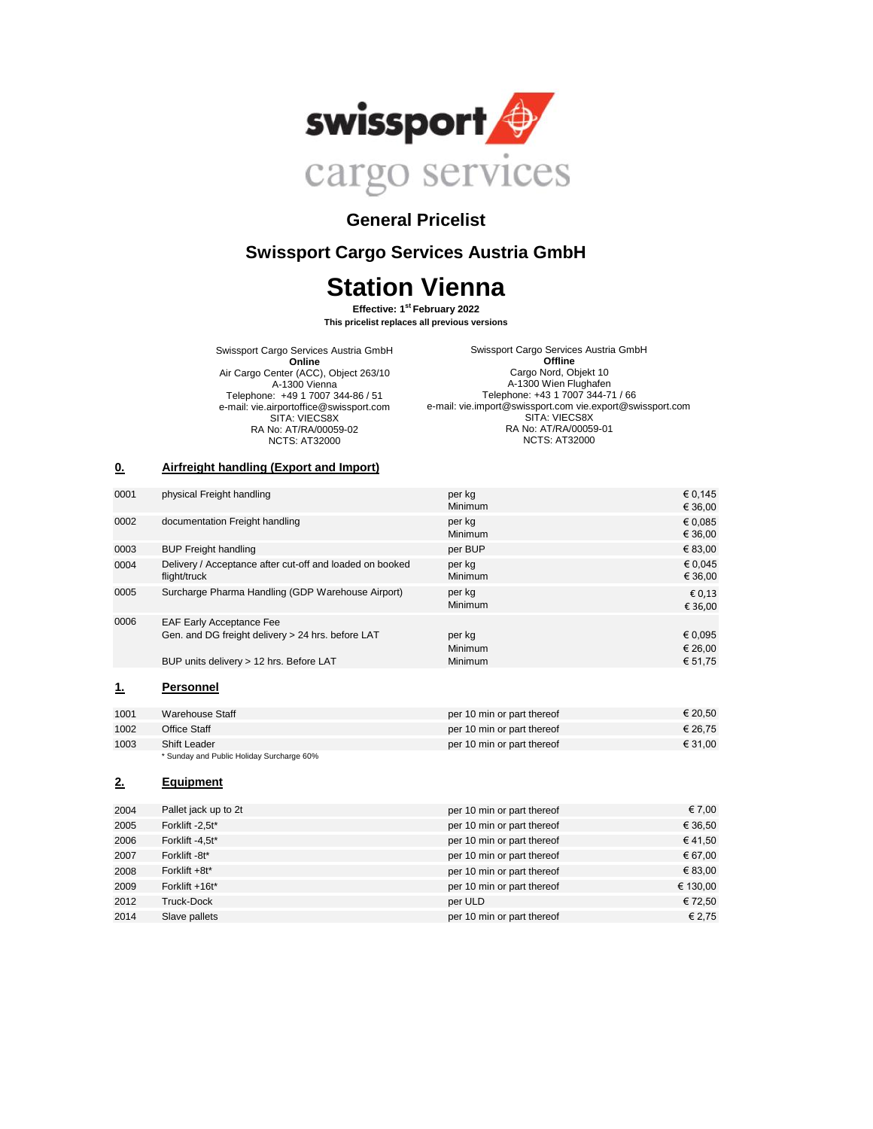

## **General Pricelist**

# **Swissport Cargo Services Austria GmbH**

# **Station Vienna**

**Effective: 1st February 2022 This pricelist replaces all previous versions**

Swissport Cargo Services Austria GmbH **Online** Air Cargo Center (ACC), Object 263/10 A-1300 Vienna Telephone: +49 1 7007 344-86 / 51 e-mail: vie.airportoffice@swissport.com SITA: VIECS8X RA No: AT/RA/00059-02 NCTS: AT32000

Swissport Cargo Services Austria GmbH **Offline** Cargo Nord, Objekt 10 A-1300 Wien Flughafen Telephone: +43 1 7007 344-71 / 66 e-mail: vie.import@swissport.com vie.export@swissport.com SITA: VIECS8X RA No: AT/RA/00059-01 NCTS: AT32000

#### **0. Airfreight handling (Export and Import)**

| 0001      | physical Freight handling                                                                                                       | per kg<br>Minimum                   | € 0,145<br>€ 36,00                     |
|-----------|---------------------------------------------------------------------------------------------------------------------------------|-------------------------------------|----------------------------------------|
| 0002      | documentation Freight handling                                                                                                  | per kg<br><b>Minimum</b>            | € 0,085<br>€ 36,00                     |
| 0003      | <b>BUP Freight handling</b>                                                                                                     | per BUP                             | € 83,00                                |
| 0004      | Delivery / Acceptance after cut-off and loaded on booked<br>flight/truck                                                        | per kg<br><b>Minimum</b>            | € 0.045<br>€ 36,00                     |
| 0005      | Surcharge Pharma Handling (GDP Warehouse Airport)                                                                               | per kg<br><b>Minimum</b>            | € 0,13<br>€ 36,00                      |
| 0006      | <b>EAF Early Acceptance Fee</b><br>Gen. and DG freight delivery > 24 hrs. before LAT<br>BUP units delivery > 12 hrs. Before LAT | per kg<br><b>Minimum</b><br>Minimum | $\epsilon$ 0,095<br>€ 26,00<br>€ 51,75 |
| <u>1.</u> | <b>Personnel</b>                                                                                                                |                                     |                                        |
| 1001      | <b>Warehouse Staff</b>                                                                                                          | per 10 min or part thereof          | € 20,50                                |
| 1002      | <b>Office Staff</b>                                                                                                             | per 10 min or part thereof          | € 26,75                                |
| 1003      | <b>Shift Leader</b><br>* Sunday and Public Holiday Surcharge 60%                                                                | per 10 min or part thereof          | € 31,00                                |
| 2.        | <b>Equipment</b>                                                                                                                |                                     |                                        |
| 2004      | Pallet jack up to 2t                                                                                                            | per 10 min or part thereof          | € 7,00                                 |
| 2005      | Forklift -2,5t*                                                                                                                 | per 10 min or part thereof          | € 36,50                                |
| 2006      | Forklift -4,5t*                                                                                                                 | per 10 min or part thereof          | €41,50                                 |
| 2007      | Forklift -8t*                                                                                                                   | per 10 min or part thereof          | € 67,00                                |
| 2008      | Forklift +8t*                                                                                                                   | per 10 min or part thereof          | € 83,00                                |
| 2009      | Forklift +16t*                                                                                                                  | per 10 min or part thereof          | € 130,00                               |
| 2012      | <b>Truck-Dock</b>                                                                                                               | per ULD                             | € 72,50                                |
| 2014      | Slave pallets                                                                                                                   | per 10 min or part thereof          | € 2,75                                 |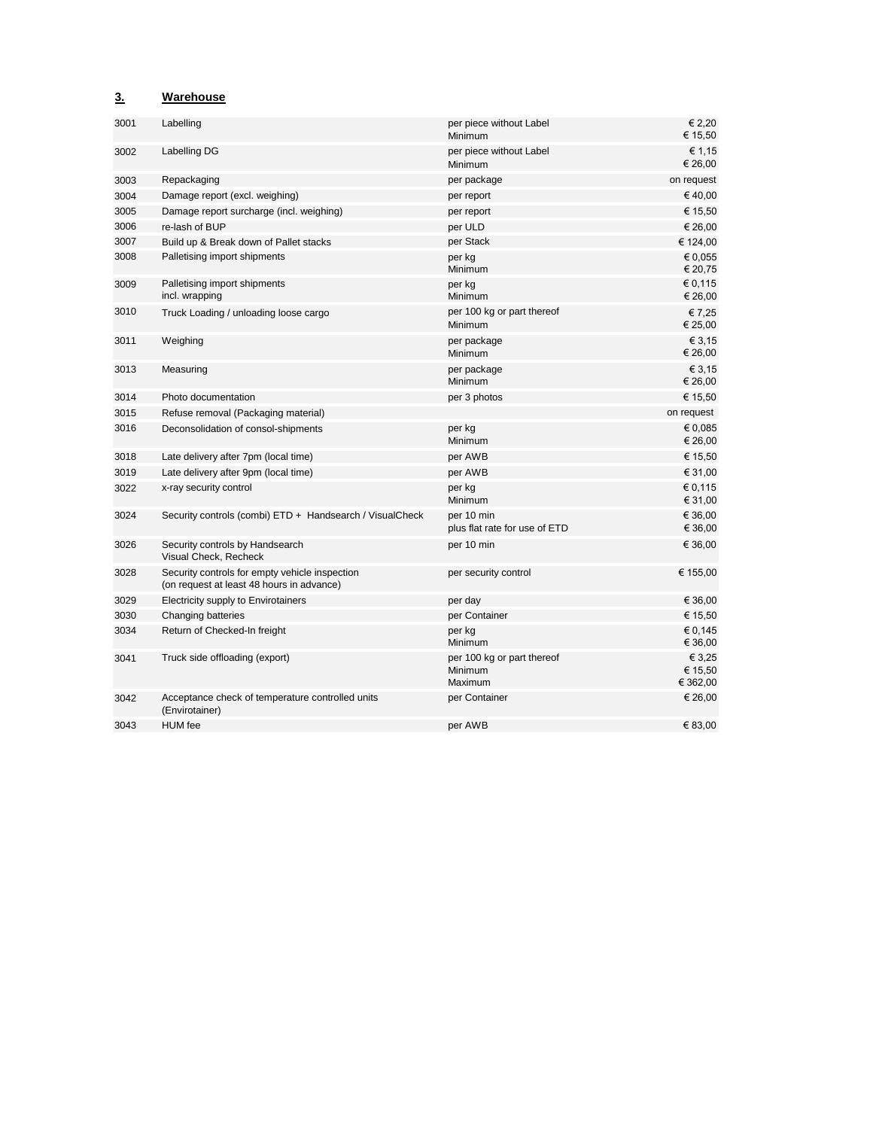### **3. Warehouse**

| 3001 | Labelling                                                                                   | per piece without Label<br>Minimum                      | € 2,20<br>€ 15,50             |
|------|---------------------------------------------------------------------------------------------|---------------------------------------------------------|-------------------------------|
| 3002 | Labelling DG                                                                                | per piece without Label<br>Minimum                      | € 1,15<br>€ 26,00             |
| 3003 | Repackaging                                                                                 | per package                                             | on request                    |
| 3004 | Damage report (excl. weighing)                                                              | per report                                              | €40,00                        |
| 3005 | Damage report surcharge (incl. weighing)                                                    | per report                                              | € 15,50                       |
| 3006 | re-lash of BUP                                                                              | per ULD                                                 | € 26,00                       |
| 3007 | Build up & Break down of Pallet stacks                                                      | per Stack                                               | € 124,00                      |
| 3008 | Palletising import shipments                                                                | per kg<br>Minimum                                       | € 0,055<br>€ 20,75            |
| 3009 | Palletising import shipments<br>incl. wrapping                                              | per kg<br>Minimum                                       | € 0,115<br>€ 26,00            |
| 3010 | Truck Loading / unloading loose cargo                                                       | per 100 kg or part thereof<br>Minimum                   | €7,25<br>€ 25,00              |
| 3011 | Weighing                                                                                    | per package<br>Minimum                                  | € 3,15<br>€ 26,00             |
| 3013 | Measuring                                                                                   | per package<br>Minimum                                  | € 3,15<br>€ 26,00             |
| 3014 | Photo documentation                                                                         | per 3 photos                                            | € 15,50                       |
| 3015 | Refuse removal (Packaging material)                                                         |                                                         | on request                    |
| 3016 | Deconsolidation of consol-shipments                                                         | per kg<br>Minimum                                       | € 0.085<br>€ 26,00            |
| 3018 | Late delivery after 7pm (local time)                                                        | per AWB                                                 | € 15,50                       |
| 3019 | Late delivery after 9pm (local time)                                                        | per AWB                                                 | € 31,00                       |
| 3022 | x-ray security control                                                                      | per kg<br><b>Minimum</b>                                | € 0,115<br>€ 31,00            |
| 3024 | Security controls (combi) ETD + Handsearch / VisualCheck                                    | per 10 min<br>plus flat rate for use of ETD             | € 36,00<br>€ 36,00            |
| 3026 | Security controls by Handsearch<br>Visual Check, Recheck                                    | per 10 min                                              | € 36,00                       |
| 3028 | Security controls for empty vehicle inspection<br>(on request at least 48 hours in advance) | per security control                                    | € 155,00                      |
| 3029 | Electricity supply to Envirotainers                                                         | per day                                                 | € 36,00                       |
| 3030 | Changing batteries                                                                          | per Container                                           | € 15,50                       |
| 3034 | Return of Checked-In freight                                                                | per kg<br>Minimum                                       | € 0.145<br>€ 36,00            |
| 3041 | Truck side offloading (export)                                                              | per 100 kg or part thereof<br><b>Minimum</b><br>Maximum | € 3,25<br>€ 15,50<br>€ 362,00 |
| 3042 | Acceptance check of temperature controlled units<br>(Envirotainer)                          | per Container                                           | € 26,00                       |
| 3043 | <b>HUM</b> fee                                                                              | per AWB                                                 | € 83,00                       |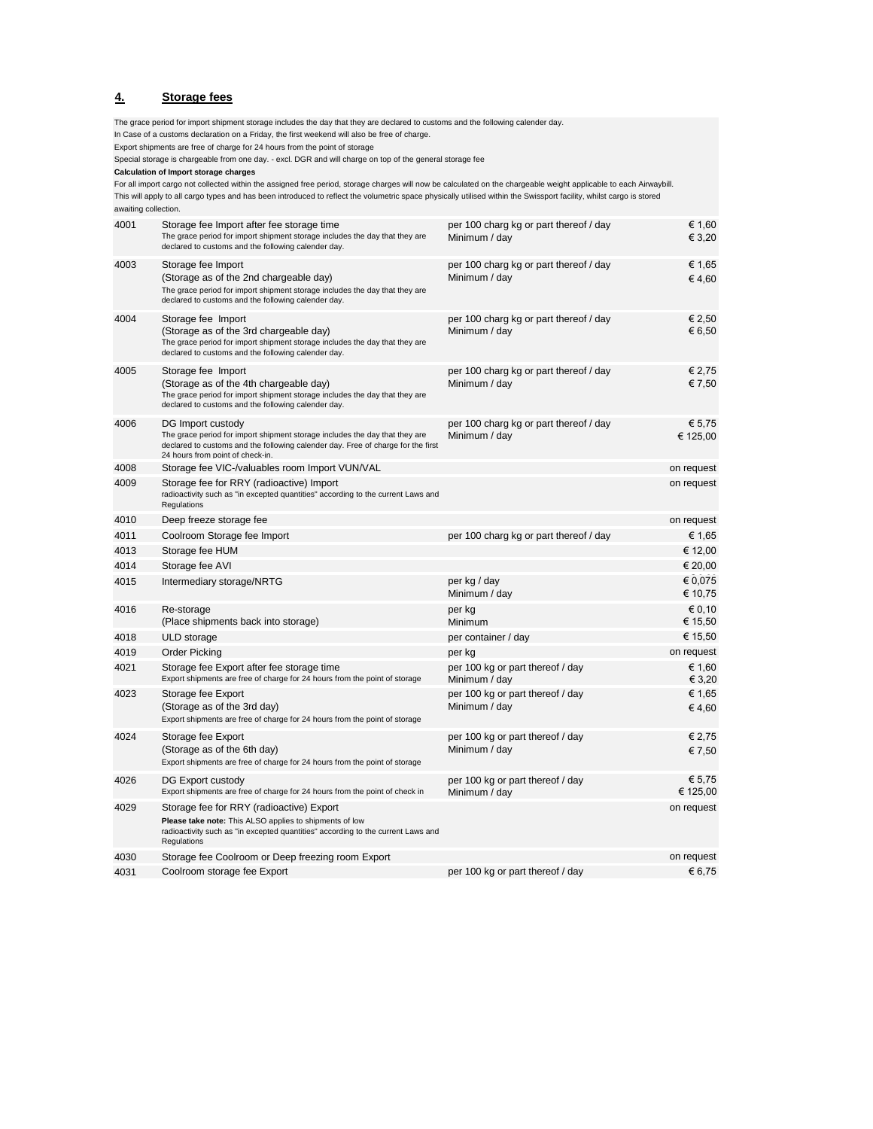#### **4. Storage fees**

4001 Storage fee Import after fee storage time  $\epsilon$  1,60 per 100 charg kg or part thereof / day  $\epsilon$  1,60 The grace period for import shipment storage includes the day that they are declared to customs and the following calender day. Minimum / day  $\epsilon$  3,20 4003 Storage fee Import € 1,65 per 100 charg kg or part thereof / day (Storage as of the 2nd chargeable day) Minimum / day  $\epsilon$  4,60 The grace period for import shipment storage includes the day that they are declared to customs and the following calender day. 4004 Storage fee Import € 2,50 per 100 charg kg or part thereof / day(Storage as of the 3rd chargeable day)  $\epsilon$  6,50 The grace period for import shipment storage includes the day that they are declared to customs and the following calender day. 4005 Storage fee Import € 2,75 per 100 charg kg or part thereof / day (Storage as of the 4th chargeable day)  $\epsilon$  7,50 The grace period for import shipment storage includes the day that they are declared to customs and the following calender day. 4006 DG Import custody € 5,75 per 100 charg kg or part thereof / day The grace period for import shipment storage includes the day that they are declared to customs and the following calender day. Free of charge for the first 24 hours from point of check-in. Minimum / day  $\epsilon$  125,00 4008 Storage fee VIC-/valuables room Import VUN/VAL on request and the control on request 4009 **Place Storage fee for RRY (radioactive) Import** This ALSO applies to shipments of low on request radioactivity such as "in excepted quantities" according to the current Laws and Regulations 4010 Deep freeze storage fee on request 4011 Coolroom Storage fee Import **per 100 charg kg or part thereof** / day  $\epsilon$  1,65 4013 Storage fee HUM € 12,00 4014 Storage fee AVI € 20,00  $4015$  Intermediary storage/NRTG per kg / day  $\geq 0.075$ Minimum / day  $610,75$ 4016 Re-storage experiments are set of the set of the per kg  $\in$  0,10  $\in$  0,10  $\in$  0,10  $\in$ (Place shipments back into storage)  $\blacksquare$  Minimum  $\blacksquare$  Minimum  $\blacksquare$  15,50  $4018$  ULD storage extension of the per container / day  $615,50$ 4019 Order Picking per kg on request 4021 Storage fee Export after fee storage time per 100 kg or part thereof / day  $\epsilon$  1,60 Export shipments are free of charge for 24 hours from the point of storage Minimum / day € 3,20  $4023$  Storage fee Export exponent per 100 kg or part thereof / day  $\epsilon$  1,65 (Storage as of the 3rd day)  $\epsilon$  4,60 Export shipments are free of charge for 24 hours from the point of storage  $4024$  Storage fee Export exponent per 100 kg or part thereof / day  $\epsilon$  2,75 (Storage as of the 6th day)  $\epsilon$  7,50 Export shipments are free of charge for 24 hours from the point of storage 4026 DG Export custody export custody per 100 kg or part thereof / day E5,75<br>Export shipments are free of charge for 24 hours from the point of check in Minimum / day  $f$  125.00 Export shipments are free of charge for 24 hours from the point of check in Minimum  $\overline{\phantom{a}}$  day 4029 Storage fee for RRY (radioactive) Export on request **Please take note:** This ALSO applies to shipments of low radioactivity such as "in excepted quantities" according to the current Laws and Regulations 4030 Storage fee Coolroom or Deep freezing room Export on request This will apply to all cargo types and has been introduced to reflect the volumetric space physically utilised within the Swissport facility, whilst cargo is stored Special storage is chargeable from one day. - excl. DGR and will charge on top of the general storage fee awaiting collection. per 100 charg kg or part thereof / day The grace period for import shipment storage includes the day that they are declared to customs and the following calender day. In Case of a customs declaration on a Friday, the first weekend will also be free of charge. Export shipments are free of charge for 24 hours from the point of storage **Calculation of Import storage charges**  For all import cargo not collected within the assigned free period, storage charges will now be calculated on the chargeable weight applicable to each Airwaybill.

4031 Coolroom storage fee Export  $6,75$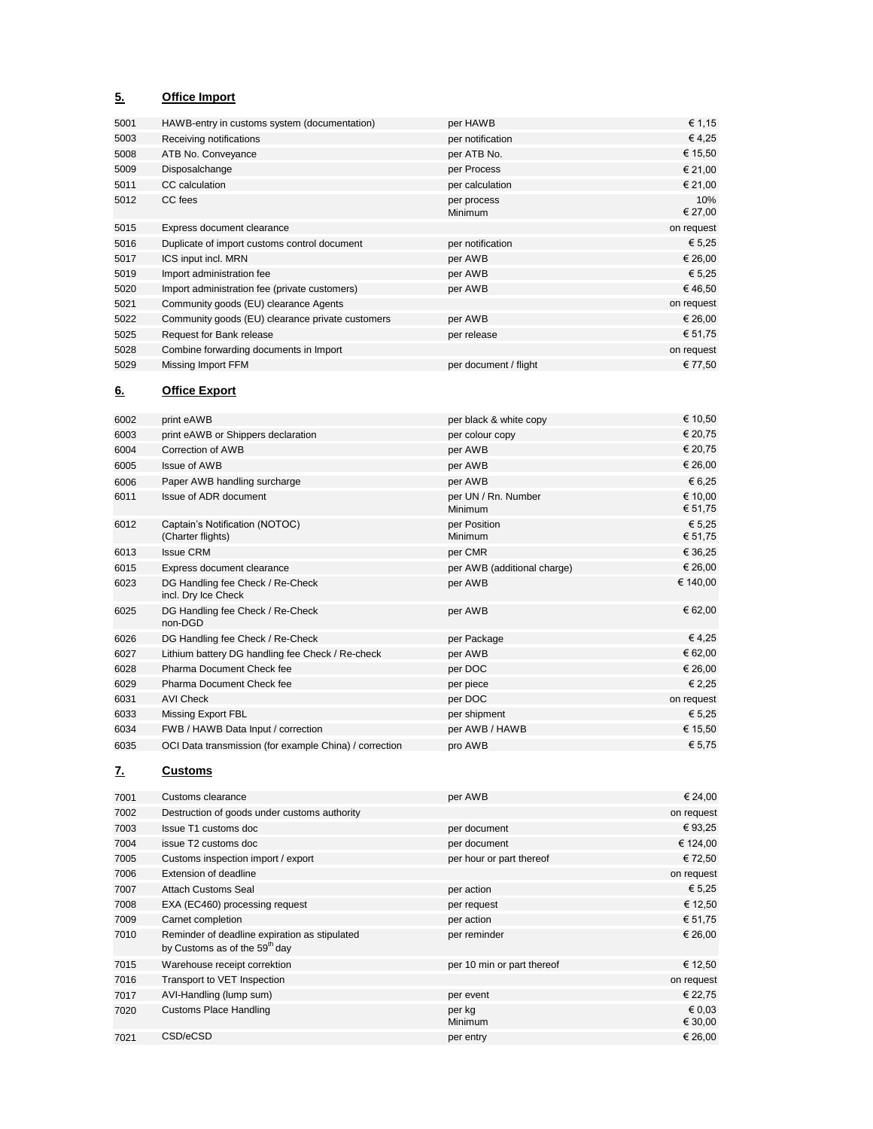### **5. Office Import**

| 5001 | HAWB-entry in customs system (documentation)     | per HAWB               | € 1,15         |
|------|--------------------------------------------------|------------------------|----------------|
| 5003 | Receiving notifications                          | per notification       | €4,25          |
| 5008 | ATB No. Conveyance                               | per ATB No.            | € 15,50        |
| 5009 | Disposalchange                                   | per Process            | € 21,00        |
| 5011 | CC calculation                                   | per calculation        | € 21,00        |
| 5012 | CC fees                                          | per process<br>Minimum | 10%<br>€ 27,00 |
| 5015 | Express document clearance                       |                        | on request     |
| 5016 | Duplicate of import customs control document     | per notification       | € 5,25         |
| 5017 | ICS input incl. MRN                              | per AWB                | € 26,00        |
| 5019 | Import administration fee                        | per AWB                | € 5,25         |
| 5020 | Import administration fee (private customers)    | per AWB                | €46,50         |
| 5021 | Community goods (EU) clearance Agents            |                        | on request     |
| 5022 | Community goods (EU) clearance private customers | per AWB                | € 26,00        |
| 5025 | Request for Bank release                         | per release            | € 51,75        |
| 5028 | Combine forwarding documents in Import           |                        | on request     |
| 5029 | Missing Import FFM                               | per document / flight  | € 77,50        |
|      |                                                  |                        |                |

### **6. Office Export**

| 6002 | print eAWB                                              | per black & white copy         | € 10,50            |
|------|---------------------------------------------------------|--------------------------------|--------------------|
| 6003 | print eAWB or Shippers declaration                      | per colour copy                | € 20,75            |
| 6004 | Correction of AWB                                       | per AWB                        | € 20,75            |
| 6005 | <b>Issue of AWB</b>                                     | per AWB                        | € 26,00            |
| 6006 | Paper AWB handling surcharge                            | per AWB                        | € 6,25             |
| 6011 | Issue of ADR document                                   | per UN / Rn. Number<br>Minimum | € 10,00<br>€ 51,75 |
| 6012 | Captain's Notification (NOTOC)<br>(Charter flights)     | per Position<br>Minimum        | € 5,25<br>€ 51,75  |
| 6013 | <b>Issue CRM</b>                                        | per CMR                        | € 36,25            |
| 6015 | Express document clearance                              | per AWB (additional charge)    | € 26,00            |
| 6023 | DG Handling fee Check / Re-Check<br>incl. Dry Ice Check | per AWB                        | € 140,00           |
| 6025 | DG Handling fee Check / Re-Check<br>non-DGD             | per AWB                        | € 62,00            |
| 6026 | DG Handling fee Check / Re-Check                        | per Package                    | €4,25              |
| 6027 | Lithium battery DG handling fee Check / Re-check        | per AWB                        | € 62,00            |
| 6028 | Pharma Document Check fee                               | per DOC                        | € 26,00            |
| 6029 | Pharma Document Check fee                               | per piece                      | € 2,25             |
| 6031 | <b>AVI Check</b>                                        | per DOC                        | on request         |
| 6033 | Missing Export FBL                                      | per shipment                   | € 5,25             |
| 6034 | FWB / HAWB Data Input / correction                      | per AWB / HAWB                 | € 15,50            |
| 6035 | OCI Data transmission (for example China) / correction  | pro AWB                        | € 5,75             |

### **7. Customs**

| 7001 | Customs clearance                                                                          | per AWB                    | € 24,00                    |
|------|--------------------------------------------------------------------------------------------|----------------------------|----------------------------|
| 7002 | Destruction of goods under customs authority                                               |                            | on request                 |
| 7003 | Issue T1 customs doc                                                                       | per document               | € 93,25                    |
| 7004 | issue T2 customs doc                                                                       | per document               | € 124,00                   |
| 7005 | Customs inspection import / export                                                         | per hour or part thereof   | € 72,50                    |
| 7006 | Extension of deadline                                                                      |                            | on request                 |
| 7007 | <b>Attach Customs Seal</b>                                                                 | per action                 | € 5,25                     |
| 7008 | EXA (EC460) processing request                                                             | per request                | € 12,50                    |
| 7009 | Carnet completion                                                                          | per action                 | € 51,75                    |
| 7010 | Reminder of deadline expiration as stipulated<br>by Customs as of the 59 <sup>th</sup> day | per reminder               | € 26,00                    |
| 7015 | Warehouse receipt correktion                                                               | per 10 min or part thereof | € 12,50                    |
| 7016 | Transport to VET Inspection                                                                |                            | on request                 |
| 7017 | AVI-Handling (lump sum)                                                                    | per event                  | € 22,75                    |
| 7020 | <b>Customs Place Handling</b>                                                              | per kg<br><b>Minimum</b>   | $\epsilon$ 0.03<br>€ 30,00 |
| 7021 | CSD/eCSD                                                                                   | per entry                  | € 26,00                    |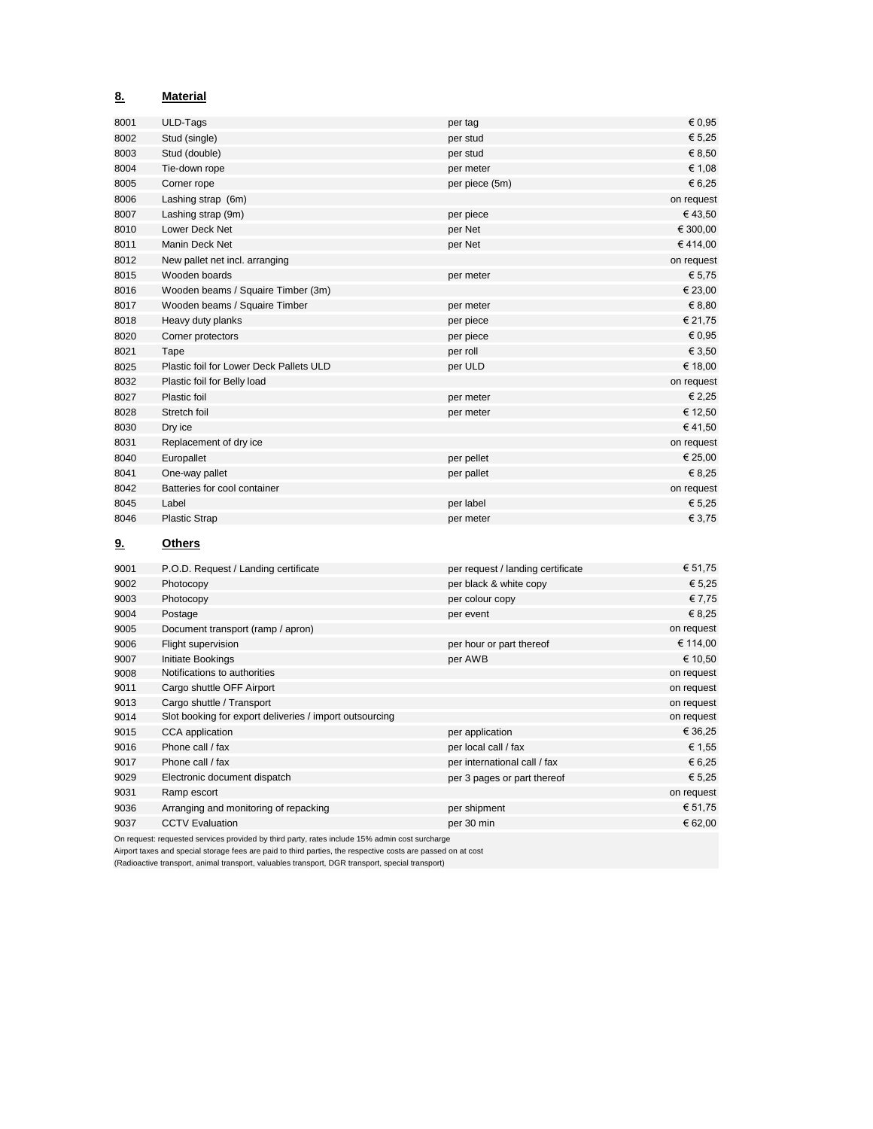| 8.        | <b>Material</b>                         |                                   |            |
|-----------|-----------------------------------------|-----------------------------------|------------|
| 8001      | ULD-Tags                                | per tag                           | € 0,95     |
| 8002      | Stud (single)                           | per stud                          | € 5,25     |
| 8003      | Stud (double)                           | per stud                          | € 8,50     |
| 8004      | Tie-down rope                           | per meter                         | € 1,08     |
| 8005      | Corner rope                             | per piece (5m)                    | € 6,25     |
| 8006      | Lashing strap (6m)                      |                                   | on request |
| 8007      | Lashing strap (9m)                      | per piece                         | €43,50     |
| 8010      | Lower Deck Net                          | per Net                           | € 300,00   |
| 8011      | Manin Deck Net                          | per Net                           | €414,00    |
| 8012      | New pallet net incl. arranging          |                                   | on request |
| 8015      | Wooden boards                           | per meter                         | € 5,75     |
| 8016      | Wooden beams / Squaire Timber (3m)      |                                   | € 23,00    |
| 8017      | Wooden beams / Squaire Timber           | per meter                         | € 8,80     |
| 8018      | Heavy duty planks                       | per piece                         | € 21,75    |
| 8020      | Corner protectors                       | per piece                         | € 0,95     |
| 8021      | Tape                                    | per roll                          | € 3,50     |
| 8025      | Plastic foil for Lower Deck Pallets ULD | per ULD                           | € 18,00    |
| 8032      | Plastic foil for Belly load             |                                   | on request |
| 8027      | Plastic foil                            | per meter                         | € 2,25     |
| 8028      | Stretch foil                            | per meter                         | € 12,50    |
| 8030      | Dry ice                                 |                                   | €41,50     |
| 8031      | Replacement of dry ice                  |                                   | on request |
| 8040      | Europallet                              | per pellet                        | € 25,00    |
| 8041      | One-way pallet                          | per pallet                        | € 8,25     |
| 8042      | Batteries for cool container            |                                   | on request |
| 8045      | Label                                   | per label                         | € 5,25     |
| 8046      | <b>Plastic Strap</b>                    | per meter                         | € 3,75     |
| <u>9.</u> | <b>Others</b>                           |                                   |            |
| 9001      | P.O.D. Request / Landing certificate    | per request / landing certificate | € 51,75    |
| 9002      | Photocopy                               | per black & white copy            | € 5,25     |
| 9003      | Photocopy                               | per colour copy                   | € 7,75     |

| ນບບວ | <b>FIIULOCOPY</b>                                       | <b>Del cologi copy</b>       | t/1, t     |
|------|---------------------------------------------------------|------------------------------|------------|
| 9004 | Postage                                                 | per event                    | € 8,25     |
| 9005 | Document transport (ramp / apron)                       |                              | on request |
| 9006 | Flight supervision                                      | per hour or part thereof     | € 114,00   |
| 9007 | Initiate Bookings                                       | per AWB                      | € 10,50    |
| 9008 | Notifications to authorities                            |                              | on request |
| 9011 | Cargo shuttle OFF Airport                               |                              | on request |
| 9013 | Cargo shuttle / Transport                               |                              | on request |
| 9014 | Slot booking for export deliveries / import outsourcing |                              | on request |
| 9015 | CCA application                                         | per application              | € 36,25    |
| 9016 | Phone call / fax                                        | per local call / fax         | € 1,55     |
| 9017 | Phone call / fax                                        | per international call / fax | € 6,25     |
| 9029 | Electronic document dispatch                            | per 3 pages or part thereof  | € 5,25     |
| 9031 | Ramp escort                                             |                              | on request |
| 9036 | Arranging and monitoring of repacking                   | per shipment                 | € 51,75    |
| 9037 | <b>CCTV Evaluation</b>                                  | per 30 min                   | € 62,00    |
|      |                                                         |                              |            |

On request: requested services provided by third party, rates include 15% admin cost surcharge

Airport taxes and special storage fees are paid to third parties, the respective costs are passed on at cost

(Radioactive transport, animal transport, valuables transport, DGR transport, special transport)